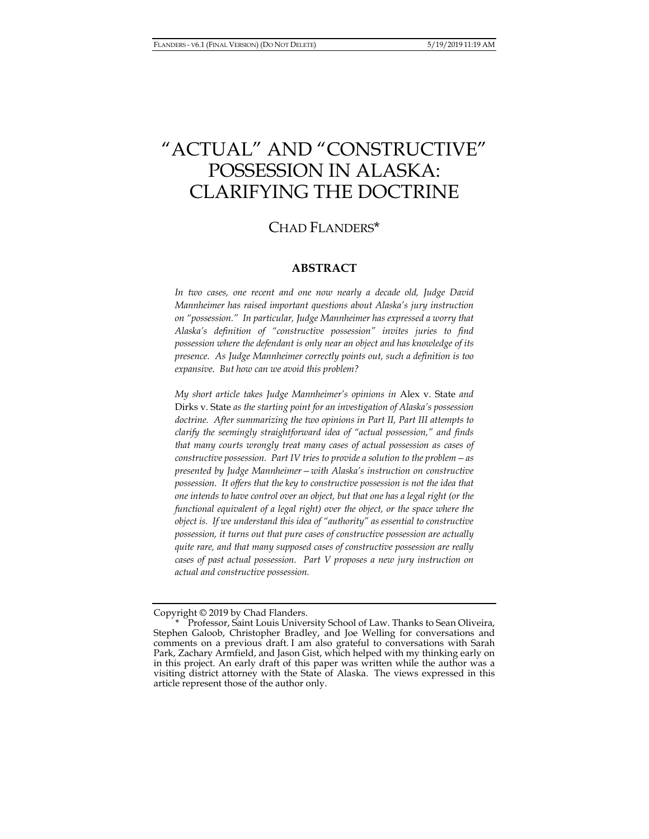# "ACTUAL" AND "CONSTRUCTIVE" POSSESSION IN ALASKA: CLARIFYING THE DOCTRINE

## CHAD FLANDERS\*

### **ABSTRACT**

*In two cases, one recent and one now nearly a decade old, Judge David Mannheimer has raised important questions about Alaska's jury instruction on "possession." In particular, Judge Mannheimer has expressed a worry that Alaska's definition of "constructive possession" invites juries to find possession where the defendant is only near an object and has knowledge of its presence. As Judge Mannheimer correctly points out, such a definition is too expansive. But how can we avoid this problem?* 

*My short article takes Judge Mannheimer's opinions in* Alex v. State *and*  Dirks v. State *as the starting point for an investigation of Alaska's possession*  doctrine. After summarizing the two opinions in Part II, Part III attempts to *clarify the seemingly straightforward idea of "actual possession," and finds that many courts wrongly treat many cases of actual possession as cases of constructive possession. Part IV tries to provide a solution to the problem—as presented by Judge Mannheimer—with Alaska's instruction on constructive possession. It offers that the key to constructive possession is not the idea that one intends to have control over an object, but that one has a legal right (or the functional equivalent of a legal right) over the object, or the space where the object is. If we understand this idea of "authority" as essential to constructive possession, it turns out that pure cases of constructive possession are actually quite rare, and that many supposed cases of constructive possession are really cases of past actual possession. Part V proposes a new jury instruction on actual and constructive possession.* 

Copyright © 2019 by Chad Flanders.

Professor, Saint Louis University School of Law. Thanks to Sean Oliveira, Stephen Galoob, Christopher Bradley, and Joe Welling for conversations and comments on a previous draft. I am also grateful to conversations with Sarah Park, Zachary Armfield, and Jason Gist, which helped with my thinking early on in this project. An early draft of this paper was written while the author was a visiting district attorney with the State of Alaska. The views expressed in this article represent those of the author only.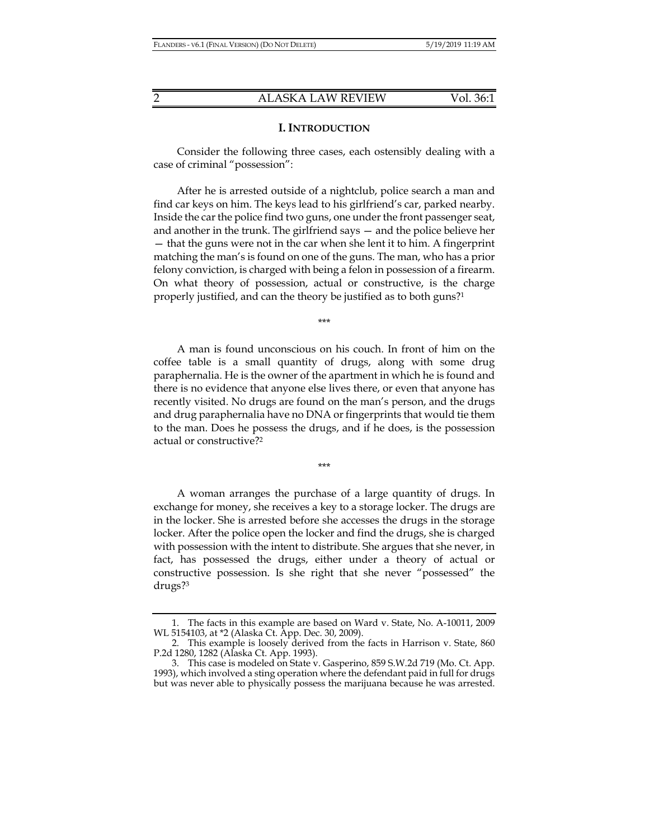#### **I. INTRODUCTION**

Consider the following three cases, each ostensibly dealing with a case of criminal "possession":

After he is arrested outside of a nightclub, police search a man and find car keys on him. The keys lead to his girlfriend's car, parked nearby. Inside the car the police find two guns, one under the front passenger seat, and another in the trunk. The girlfriend says — and the police believe her — that the guns were not in the car when she lent it to him. A fingerprint matching the man's is found on one of the guns. The man, who has a prior felony conviction, is charged with being a felon in possession of a firearm. On what theory of possession, actual or constructive, is the charge properly justified, and can the theory be justified as to both guns?1

\*\*\*

A man is found unconscious on his couch. In front of him on the coffee table is a small quantity of drugs, along with some drug paraphernalia. He is the owner of the apartment in which he is found and there is no evidence that anyone else lives there, or even that anyone has recently visited. No drugs are found on the man's person, and the drugs and drug paraphernalia have no DNA or fingerprints that would tie them to the man. Does he possess the drugs, and if he does, is the possession actual or constructive?2

\*\*\*

A woman arranges the purchase of a large quantity of drugs. In exchange for money, she receives a key to a storage locker. The drugs are in the locker. She is arrested before she accesses the drugs in the storage locker. After the police open the locker and find the drugs, she is charged with possession with the intent to distribute. She argues that she never, in fact, has possessed the drugs, either under a theory of actual or constructive possession. Is she right that she never "possessed" the drugs?3

 <sup>1.</sup> The facts in this example are based on Ward v. State, No. A-10011, 2009 WL 5154103, at \*2 (Alaska Ct. App. Dec. 30, 2009).

 <sup>2.</sup> This example is loosely derived from the facts in Harrison v. State, 860 P.2d 1280, 1282 (Alaska Ct. App. 1993).

 <sup>3.</sup> This case is modeled on State v. Gasperino, 859 S.W.2d 719 (Mo. Ct. App. 1993), which involved a sting operation where the defendant paid in full for drugs but was never able to physically possess the marijuana because he was arrested.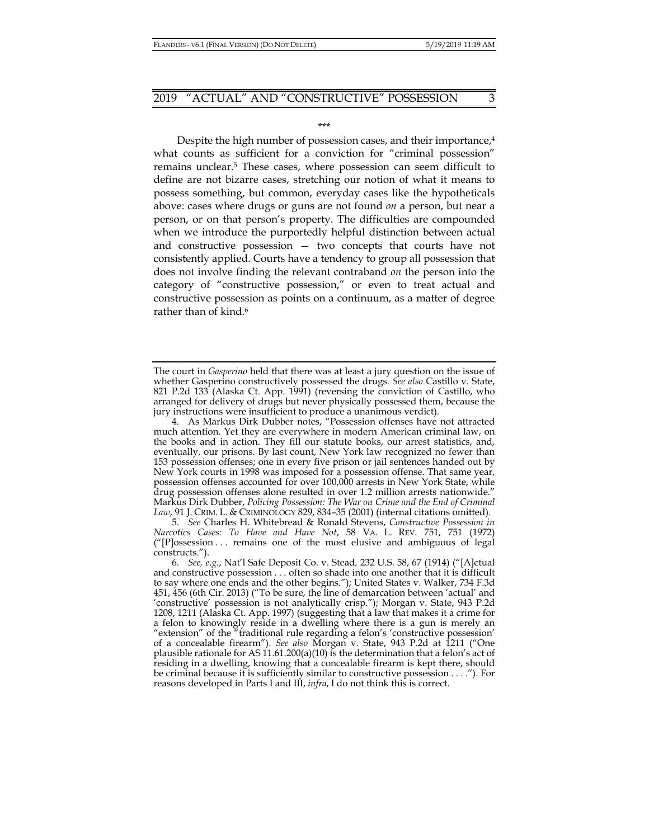\*\*\*

Despite the high number of possession cases, and their importance,<sup>4</sup> what counts as sufficient for a conviction for "criminal possession" remains unclear.5 These cases, where possession can seem difficult to define are not bizarre cases, stretching our notion of what it means to possess something, but common, everyday cases like the hypotheticals above: cases where drugs or guns are not found *on* a person, but near a person, or on that person's property. The difficulties are compounded when we introduce the purportedly helpful distinction between actual and constructive possession — two concepts that courts have not consistently applied. Courts have a tendency to group all possession that does not involve finding the relevant contraband *on* the person into the category of "constructive possession," or even to treat actual and constructive possession as points on a continuum, as a matter of degree rather than of kind.<sup>6</sup>

The court in *Gasperino* held that there was at least a jury question on the issue of whether Gasperino constructively possessed the drugs. *See also* Castillo v. State, 821 P.2d 133 (Alaska Ct. App. 1991) (reversing the conviction of Castillo, who arranged for delivery of drugs but never physically possessed them, because the jury instructions were insufficient to produce a unanimous verdict).

 <sup>4.</sup> As Markus Dirk Dubber notes, "Possession offenses have not attracted much attention. Yet they are everywhere in modern American criminal law, on the books and in action. They fill our statute books, our arrest statistics, and, eventually, our prisons. By last count, New York law recognized no fewer than 153 possession offenses; one in every five prison or jail sentences handed out by New York courts in 1998 was imposed for a possession offense. That same year, possession offenses accounted for over 100,000 arrests in New York State, while drug possession offenses alone resulted in over 1.2 million arrests nationwide." Markus Dirk Dubber, *Policing Possession: The War on Crime and the End of Criminal Law*, 91 J. CRIM. L. & CRIMINOLOGY 829, 834–35 (2001) (internal citations omitted).

 <sup>5.</sup> *See* Charles H. Whitebread & Ronald Stevens, *Constructive Possession in Narcotics Cases: To Have and Have Not*, 58 VA. L. REV. 751, 751 (1972)  $''$ [P]ossession ... remains one of the most elusive and ambiguous of legal constructs.").

 <sup>6.</sup> *See, e.g.*, Nat'l Safe Deposit Co. v. Stead*,* 232 U.S. 58, 67 (1914) ("[A]ctual and constructive possession . . . often so shade into one another that it is difficult to say where one ends and the other begins."); United States v. Walker, 734 F.3d 451, 456 (6th Cir. 2013) ("To be sure, the line of demarcation between 'actual' and 'constructive' possession is not analytically crisp."); Morgan v. State, 943 P.2d 1208, 1211 (Alaska Ct. App. 1997) (suggesting that a law that makes it a crime for a felon to knowingly reside in a dwelling where there is a gun is merely an "extension" of the  $\bar{i}$  traditional rule regarding a felon's 'constructive possession' of a concealable firearm"). *See also* Morgan v. State, 943 P.2d at 1211 ("One plausible rationale for AS 11.61.200(a)(10) is the determination that a felon's act of residing in a dwelling, knowing that a concealable firearm is kept there, should be criminal because it is sufficiently similar to constructive possession . . . ."). For reasons developed in Parts I and III, *infra*, I do not think this is correct.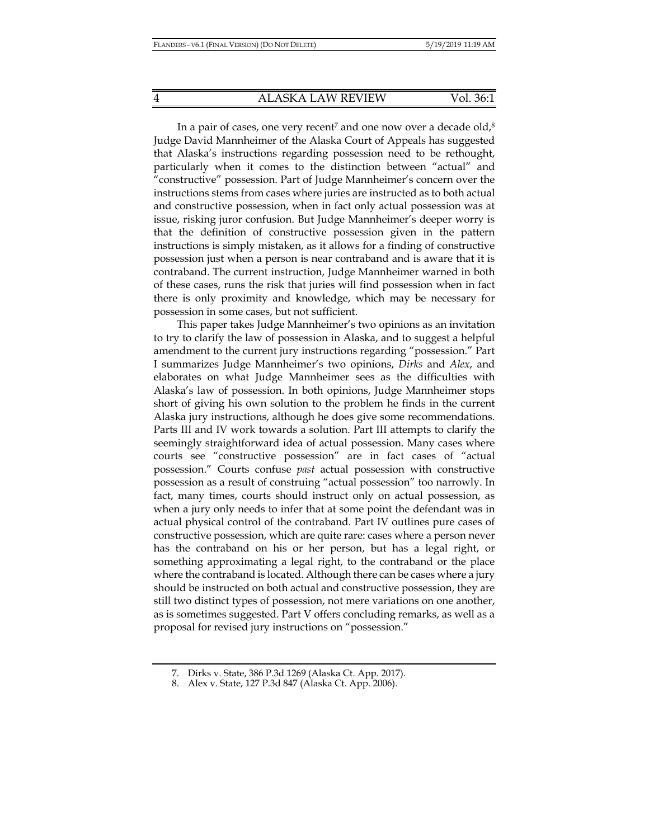In a pair of cases, one very recent<sup>7</sup> and one now over a decade old, $8$ Judge David Mannheimer of the Alaska Court of Appeals has suggested that Alaska's instructions regarding possession need to be rethought, particularly when it comes to the distinction between "actual" and "constructive" possession. Part of Judge Mannheimer's concern over the instructions stems from cases where juries are instructed as to both actual and constructive possession, when in fact only actual possession was at issue, risking juror confusion. But Judge Mannheimer's deeper worry is that the definition of constructive possession given in the pattern instructions is simply mistaken, as it allows for a finding of constructive possession just when a person is near contraband and is aware that it is contraband. The current instruction, Judge Mannheimer warned in both of these cases, runs the risk that juries will find possession when in fact there is only proximity and knowledge, which may be necessary for possession in some cases, but not sufficient.

This paper takes Judge Mannheimer's two opinions as an invitation to try to clarify the law of possession in Alaska, and to suggest a helpful amendment to the current jury instructions regarding "possession." Part I summarizes Judge Mannheimer's two opinions, *Dirks* and *Alex*, and elaborates on what Judge Mannheimer sees as the difficulties with Alaska's law of possession. In both opinions, Judge Mannheimer stops short of giving his own solution to the problem he finds in the current Alaska jury instructions, although he does give some recommendations. Parts III and IV work towards a solution. Part III attempts to clarify the seemingly straightforward idea of actual possession. Many cases where courts see "constructive possession" are in fact cases of "actual possession." Courts confuse *past* actual possession with constructive possession as a result of construing "actual possession" too narrowly. In fact, many times, courts should instruct only on actual possession, as when a jury only needs to infer that at some point the defendant was in actual physical control of the contraband. Part IV outlines pure cases of constructive possession, which are quite rare: cases where a person never has the contraband on his or her person, but has a legal right, or something approximating a legal right, to the contraband or the place where the contraband is located. Although there can be cases where a jury should be instructed on both actual and constructive possession, they are still two distinct types of possession, not mere variations on one another, as is sometimes suggested. Part V offers concluding remarks, as well as a proposal for revised jury instructions on "possession."

 <sup>7.</sup> Dirks v. State, 386 P.3d 1269 (Alaska Ct. App. 2017).

 <sup>8.</sup> Alex v. State, 127 P.3d 847 (Alaska Ct. App. 2006).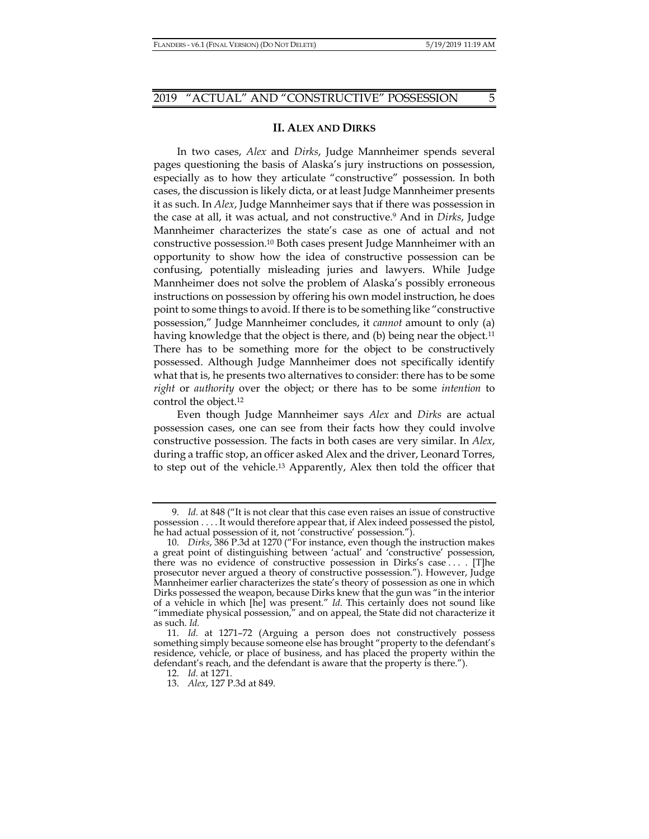#### **II. ALEX AND DIRKS**

In two cases, *Alex* and *Dirks*, Judge Mannheimer spends several pages questioning the basis of Alaska's jury instructions on possession, especially as to how they articulate "constructive" possession. In both cases, the discussion is likely dicta, or at least Judge Mannheimer presents it as such. In *Alex*, Judge Mannheimer says that if there was possession in the case at all, it was actual, and not constructive.9 And in *Dirks*, Judge Mannheimer characterizes the state's case as one of actual and not constructive possession.10 Both cases present Judge Mannheimer with an opportunity to show how the idea of constructive possession can be confusing, potentially misleading juries and lawyers. While Judge Mannheimer does not solve the problem of Alaska's possibly erroneous instructions on possession by offering his own model instruction, he does point to some things to avoid. If there is to be something like "constructive possession," Judge Mannheimer concludes, it *cannot* amount to only (a) having knowledge that the object is there, and (b) being near the object.<sup>11</sup> There has to be something more for the object to be constructively possessed. Although Judge Mannheimer does not specifically identify what that is, he presents two alternatives to consider: there has to be some *right* or *authority* over the object; or there has to be some *intention* to control the object.12

Even though Judge Mannheimer says *Alex* and *Dirks* are actual possession cases, one can see from their facts how they could involve constructive possession. The facts in both cases are very similar. In *Alex*, during a traffic stop, an officer asked Alex and the driver, Leonard Torres, to step out of the vehicle.13 Apparently, Alex then told the officer that

 <sup>9.</sup> *Id.* at 848 ("It is not clear that this case even raises an issue of constructive possession . . . . It would therefore appear that, if Alex indeed possessed the pistol, he had actual possession of it, not 'constructive' possession.").

 <sup>10.</sup> *Dirks*, 386 P.3d at 1270 ("For instance, even though the instruction makes a great point of distinguishing between 'actual' and 'constructive' possession, there was no evidence of constructive possession in Dirks's case . . . . [T]he prosecutor never argued a theory of constructive possession."). However, Judge Mannheimer earlier characterizes the state's theory of possession as one in which Dirks possessed the weapon, because Dirks knew that the gun was "in the interior of a vehicle in which [he] was present." *Id*. This certainly does not sound like "immediate physical possession," and on appeal, the State did not characterize it as such. *Id.*

 <sup>11.</sup> *Id.* at 1271–72 (Arguing a person does not constructively possess something simply because someone else has brought "property to the defendant's residence, vehicle, or place of business, and has placed the property within the defendant's reach, and the defendant is aware that the property is there.").

 <sup>12.</sup> *Id.* at 1271.

 <sup>13.</sup> *Alex*, 127 P.3d at 849.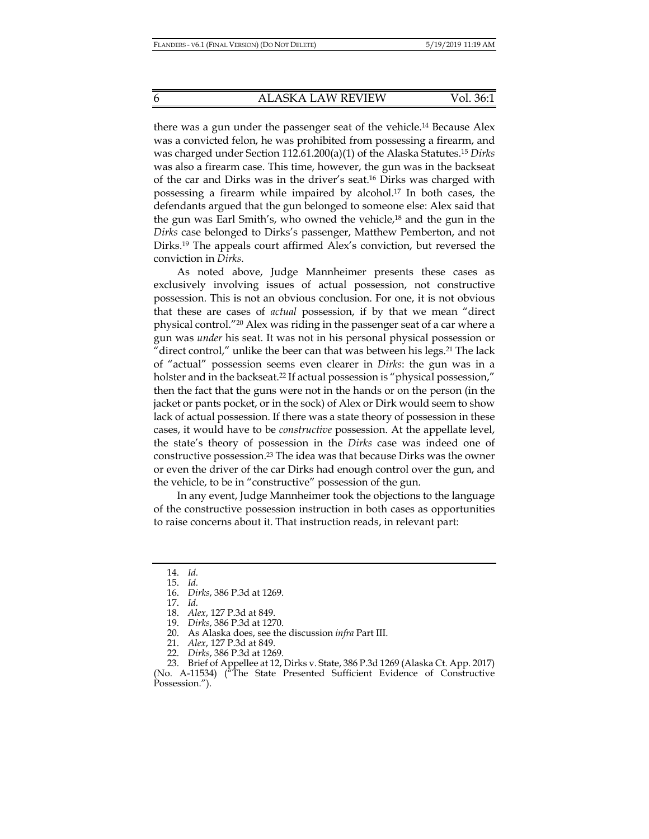there was a gun under the passenger seat of the vehicle.14 Because Alex was a convicted felon, he was prohibited from possessing a firearm, and was charged under Section 112.61.200(a)(1) of the Alaska Statutes.15 *Dirks* was also a firearm case. This time, however, the gun was in the backseat of the car and Dirks was in the driver's seat.16 Dirks was charged with possessing a firearm while impaired by alcohol.17 In both cases, the defendants argued that the gun belonged to someone else: Alex said that the gun was Earl Smith's, who owned the vehicle,18 and the gun in the *Dirks* case belonged to Dirks's passenger, Matthew Pemberton, and not Dirks.19 The appeals court affirmed Alex's conviction, but reversed the conviction in *Dirks*.

As noted above, Judge Mannheimer presents these cases as exclusively involving issues of actual possession, not constructive possession. This is not an obvious conclusion. For one, it is not obvious that these are cases of *actual* possession, if by that we mean "direct physical control."20 Alex was riding in the passenger seat of a car where a gun was *under* his seat. It was not in his personal physical possession or "direct control," unlike the beer can that was between his legs.<sup>21</sup> The lack of "actual" possession seems even clearer in *Dirks*: the gun was in a holster and in the backseat.<sup>22</sup> If actual possession is "physical possession," then the fact that the guns were not in the hands or on the person (in the jacket or pants pocket, or in the sock) of Alex or Dirk would seem to show lack of actual possession. If there was a state theory of possession in these cases, it would have to be *constructive* possession. At the appellate level, the state's theory of possession in the *Dirks* case was indeed one of constructive possession.23 The idea was that because Dirks was the owner or even the driver of the car Dirks had enough control over the gun, and the vehicle, to be in "constructive" possession of the gun.

In any event, Judge Mannheimer took the objections to the language of the constructive possession instruction in both cases as opportunities to raise concerns about it. That instruction reads, in relevant part:

 <sup>14.</sup> *Id.*

 <sup>15.</sup> *Id.*

 <sup>16.</sup> *Dirks*, 386 P.3d at 1269.

 <sup>17.</sup> *Id.*

 <sup>18.</sup> *Alex*, 127 P.3d at 849.

 <sup>19.</sup> *Dirks*, 386 P.3d at 1270.

 <sup>20.</sup> As Alaska does, see the discussion *infra* Part III.

 <sup>21.</sup> *Alex*, 127 P.3d at 849.

 <sup>22.</sup> *Dirks*, 386 P.3d at 1269.

 <sup>23.</sup> Brief of Appellee at 12, Dirks v. State, 386 P.3d 1269 (Alaska Ct. App. 2017) (No. A-11534) ("The State Presented Sufficient Evidence of Constructive Possession.").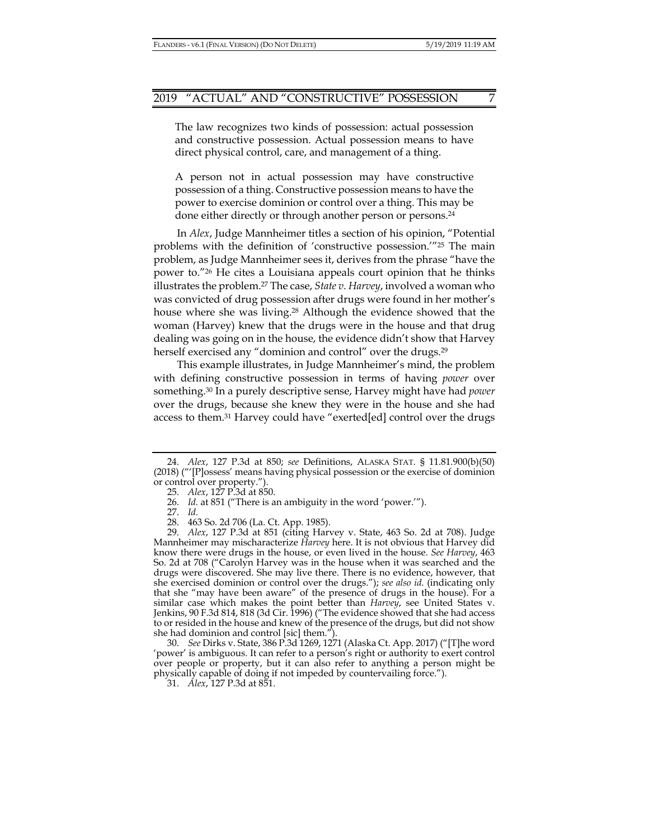The law recognizes two kinds of possession: actual possession and constructive possession. Actual possession means to have direct physical control, care, and management of a thing.

A person not in actual possession may have constructive possession of a thing. Constructive possession means to have the power to exercise dominion or control over a thing. This may be done either directly or through another person or persons.24

In *Alex*, Judge Mannheimer titles a section of his opinion, "Potential problems with the definition of 'constructive possession.'"25 The main problem, as Judge Mannheimer sees it, derives from the phrase "have the power to."26 He cites a Louisiana appeals court opinion that he thinks illustrates the problem.27 The case, *State v. Harvey*, involved a woman who was convicted of drug possession after drugs were found in her mother's house where she was living.<sup>28</sup> Although the evidence showed that the woman (Harvey) knew that the drugs were in the house and that drug dealing was going on in the house, the evidence didn't show that Harvey herself exercised any "dominion and control" over the drugs.<sup>29</sup>

This example illustrates, in Judge Mannheimer's mind, the problem with defining constructive possession in terms of having *power* over something.30 In a purely descriptive sense, Harvey might have had *power* over the drugs, because she knew they were in the house and she had access to them.31 Harvey could have "exerted[ed] control over the drugs

 30. *See* Dirks v. State, 386 P.3d 1269, 1271 (Alaska Ct. App. 2017) ("[T]he word 'power' is ambiguous. It can refer to a person's right or authority to exert control over people or property, but it can also refer to anything a person might be physically capable of doing if not impeded by countervailing force.").

31. *Alex*, 127 P.3d at 851.

 <sup>24.</sup> *Alex*, 127 P.3d at 850; *see* Definitions, ALASKA STAT. § 11.81.900(b)(50) (2018) ("'[P]ossess' means having physical possession or the exercise of dominion or control over property.").

 <sup>25.</sup> *Alex*, 127 P.3d at 850.

 <sup>26.</sup> *Id.* at 851 ("There is an ambiguity in the word 'power.'").

 <sup>27.</sup> *Id.*

 <sup>28. 463</sup> So. 2d 706 (La. Ct. App. 1985).

 <sup>29.</sup> *Alex*, 127 P.3d at 851 (citing Harvey v. State, 463 So. 2d at 708). Judge Mannheimer may mischaracterize *Harvey* here. It is not obvious that Harvey did know there were drugs in the house, or even lived in the house. *See Harvey*, 463 So. 2d at 708 ("Carolyn Harvey was in the house when it was searched and the drugs were discovered. She may live there. There is no evidence, however, that she exercised dominion or control over the drugs."); *see also id*. (indicating only that she "may have been aware" of the presence of drugs in the house). For a similar case which makes the point better than *Harvey*, see United States v. Jenkins, 90 F.3d 814, 818 (3d Cir. 1996) ("The evidence showed that she had access to or resided in the house and knew of the presence of the drugs, but did not show she had dominion and control [sic] them.").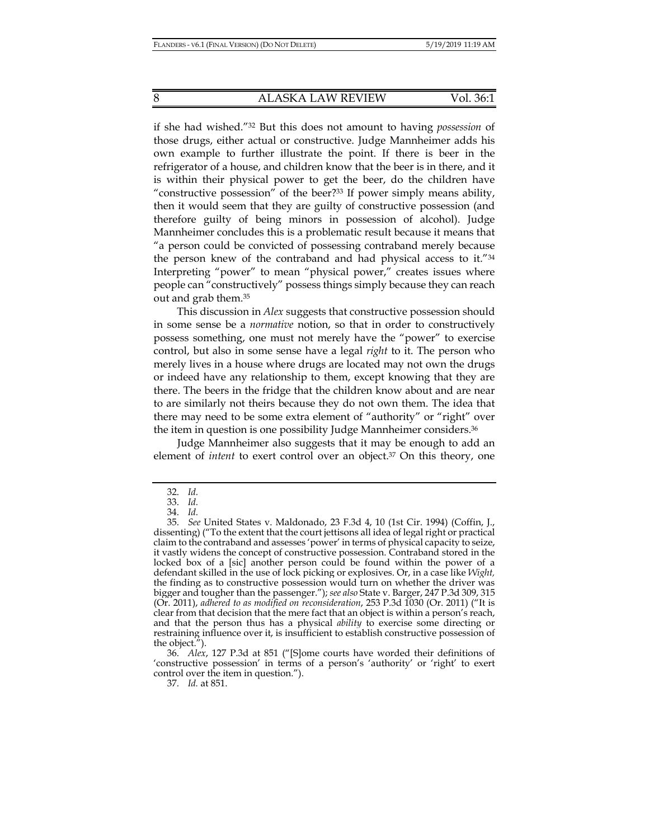if she had wished."32 But this does not amount to having *possession* of those drugs, either actual or constructive. Judge Mannheimer adds his own example to further illustrate the point. If there is beer in the refrigerator of a house, and children know that the beer is in there, and it is within their physical power to get the beer, do the children have "constructive possession" of the beer?33 If power simply means ability, then it would seem that they are guilty of constructive possession (and therefore guilty of being minors in possession of alcohol). Judge Mannheimer concludes this is a problematic result because it means that "a person could be convicted of possessing contraband merely because the person knew of the contraband and had physical access to it."34 Interpreting "power" to mean "physical power," creates issues where people can "constructively" possess things simply because they can reach out and grab them.35

This discussion in *Alex* suggests that constructive possession should in some sense be a *normative* notion, so that in order to constructively possess something, one must not merely have the "power" to exercise control, but also in some sense have a legal *right* to it. The person who merely lives in a house where drugs are located may not own the drugs or indeed have any relationship to them, except knowing that they are there. The beers in the fridge that the children know about and are near to are similarly not theirs because they do not own them. The idea that there may need to be some extra element of "authority" or "right" over the item in question is one possibility Judge Mannheimer considers.36

Judge Mannheimer also suggests that it may be enough to add an element of *intent* to exert control over an object.37 On this theory, one

 <sup>32.</sup> *Id.*

 <sup>33.</sup> *Id.*

 <sup>34.</sup> *Id.*

 <sup>35.</sup> *See* United States v. Maldonado, 23 F.3d 4, 10 (1st Cir. 1994) (Coffin, J., dissenting) ("To the extent that the court jettisons all idea of legal right or practical claim to the contraband and assesses 'power' in terms of physical capacity to seize, it vastly widens the concept of constructive possession. Contraband stored in the locked box of a [sic] another person could be found within the power of a defendant skilled in the use of lock picking or explosives. Or, in a case like *Wight,* the finding as to constructive possession would turn on whether the driver was bigger and tougher than the passenger."); *see also* State v. Barger, 247 P.3d 309, 315 (Or. 2011), *adhered to as modified on reconsideration*, 253 P.3d 1030 (Or. 2011) ("It is clear from that decision that the mere fact that an object is within a person's reach, and that the person thus has a physical *ability* to exercise some directing or restraining influence over it, is insufficient to establish constructive possession of the object.").

 <sup>36.</sup> *Alex*, 127 P.3d at 851 ("[S]ome courts have worded their definitions of 'constructive possession' in terms of a person's 'authority' or 'right' to exert control over the item in question.").

 <sup>37.</sup> *Id.* at 851.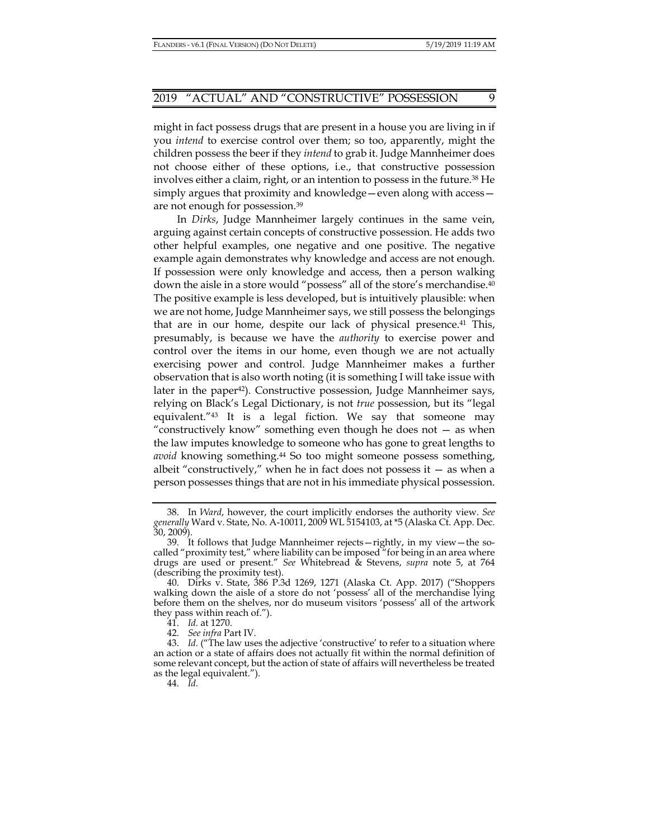might in fact possess drugs that are present in a house you are living in if you *intend* to exercise control over them; so too, apparently, might the children possess the beer if they *intend* to grab it. Judge Mannheimer does not choose either of these options, i.e., that constructive possession involves either a claim, right, or an intention to possess in the future.38 He simply argues that proximity and knowledge—even along with access are not enough for possession.39

In *Dirks*, Judge Mannheimer largely continues in the same vein, arguing against certain concepts of constructive possession. He adds two other helpful examples, one negative and one positive. The negative example again demonstrates why knowledge and access are not enough. If possession were only knowledge and access, then a person walking down the aisle in a store would "possess" all of the store's merchandise.40 The positive example is less developed, but is intuitively plausible: when we are not home, Judge Mannheimer says, we still possess the belongings that are in our home, despite our lack of physical presence.41 This, presumably, is because we have the *authority* to exercise power and control over the items in our home, even though we are not actually exercising power and control. Judge Mannheimer makes a further observation that is also worth noting (it is something I will take issue with later in the paper<sup>42</sup>). Constructive possession, Judge Mannheimer says, relying on Black's Legal Dictionary, is not *true* possession, but its "legal equivalent."43 It is a legal fiction. We say that someone may "constructively know" something even though he does not — as when the law imputes knowledge to someone who has gone to great lengths to *avoid* knowing something.44 So too might someone possess something, albeit "constructively," when he in fact does not possess it  $-$  as when a person possesses things that are not in his immediate physical possession.

44. *Id.*

 <sup>38.</sup> In *Ward*, however, the court implicitly endorses the authority view. *See generally* Ward v. State, No. A-10011, 2009 WL 5154103, at \*5 (Alaska Ct. App. Dec. 30, 2009).

 <sup>39.</sup> It follows that Judge Mannheimer rejects—rightly, in my view—the socalled "proximity test," where liability can be imposed "for being in an area where drugs are used or present." *See* Whitebread & Stevens, *supra* note 5, at 764 (describing the proximity test).

 <sup>40.</sup> Dirks v. State, 386 P.3d 1269, 1271 (Alaska Ct. App. 2017) ("Shoppers walking down the aisle of a store do not 'possess' all of the merchandise lying before them on the shelves, nor do museum visitors 'possess' all of the artwork they pass within reach of.").

 <sup>41.</sup> *Id.* at 1270.

 <sup>42.</sup> *See infra* Part IV.

 <sup>43.</sup> *Id.* ("The law uses the adjective 'constructive' to refer to a situation where an action or a state of affairs does not actually fit within the normal definition of some relevant concept, but the action of state of affairs will nevertheless be treated as the legal equivalent.").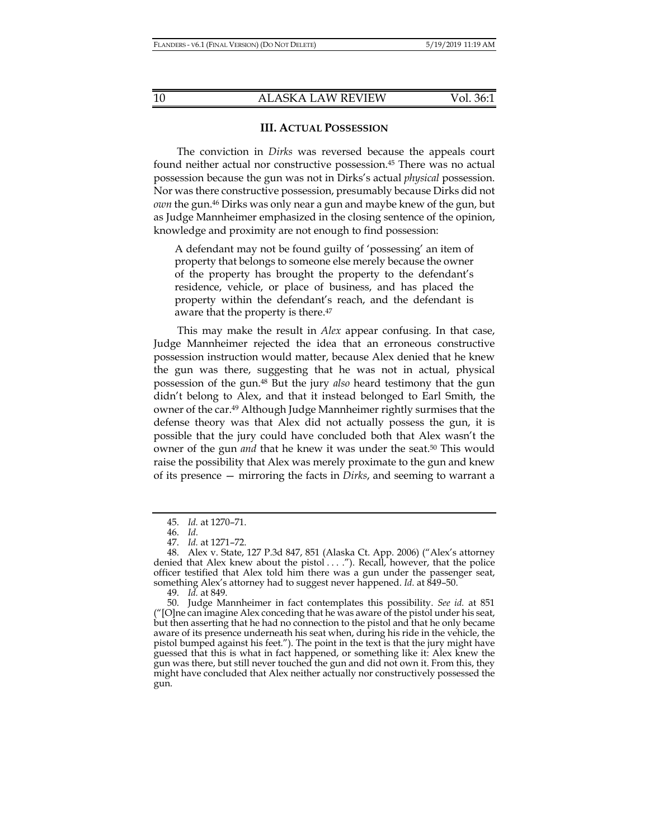#### **III. ACTUAL POSSESSION**

The conviction in *Dirks* was reversed because the appeals court found neither actual nor constructive possession.45 There was no actual possession because the gun was not in Dirks's actual *physical* possession. Nor was there constructive possession, presumably because Dirks did not *own* the gun.46 Dirks was only near a gun and maybe knew of the gun, but as Judge Mannheimer emphasized in the closing sentence of the opinion, knowledge and proximity are not enough to find possession:

A defendant may not be found guilty of 'possessing' an item of property that belongs to someone else merely because the owner of the property has brought the property to the defendant's residence, vehicle, or place of business, and has placed the property within the defendant's reach, and the defendant is aware that the property is there.<sup>47</sup>

This may make the result in *Alex* appear confusing. In that case, Judge Mannheimer rejected the idea that an erroneous constructive possession instruction would matter, because Alex denied that he knew the gun was there, suggesting that he was not in actual, physical possession of the gun.48 But the jury *also* heard testimony that the gun didn't belong to Alex, and that it instead belonged to Earl Smith, the owner of the car.49 Although Judge Mannheimer rightly surmises that the defense theory was that Alex did not actually possess the gun, it is possible that the jury could have concluded both that Alex wasn't the owner of the gun *and* that he knew it was under the seat.<sup>50</sup> This would raise the possibility that Alex was merely proximate to the gun and knew of its presence — mirroring the facts in *Dirks*, and seeming to warrant a

 <sup>45.</sup> *Id.* at 1270–71.

 <sup>46.</sup> *Id.*

 <sup>47.</sup> *Id.* at 1271–72.

 <sup>48.</sup> Alex v. State, 127 P.3d 847, 851 (Alaska Ct. App. 2006) ("Alex's attorney denied that Alex knew about the pistol . . . ."). Recall, however, that the police officer testified that Alex told him there was a gun under the passenger seat, something Alex's attorney had to suggest never happened. *Id*. at 849–50.

 <sup>49.</sup> *Id.* at 849.

 <sup>50.</sup> Judge Mannheimer in fact contemplates this possibility. *See id.* at 851 ("[O]ne can imagine Alex conceding that he was aware of the pistol under his seat, but then asserting that he had no connection to the pistol and that he only became aware of its presence underneath his seat when, during his ride in the vehicle, the pistol bumped against his feet."). The point in the text is that the jury might have guessed that this is what in fact happened, or something like it: Alex knew the gun was there, but still never touched the gun and did not own it. From this, they might have concluded that Alex neither actually nor constructively possessed the gun.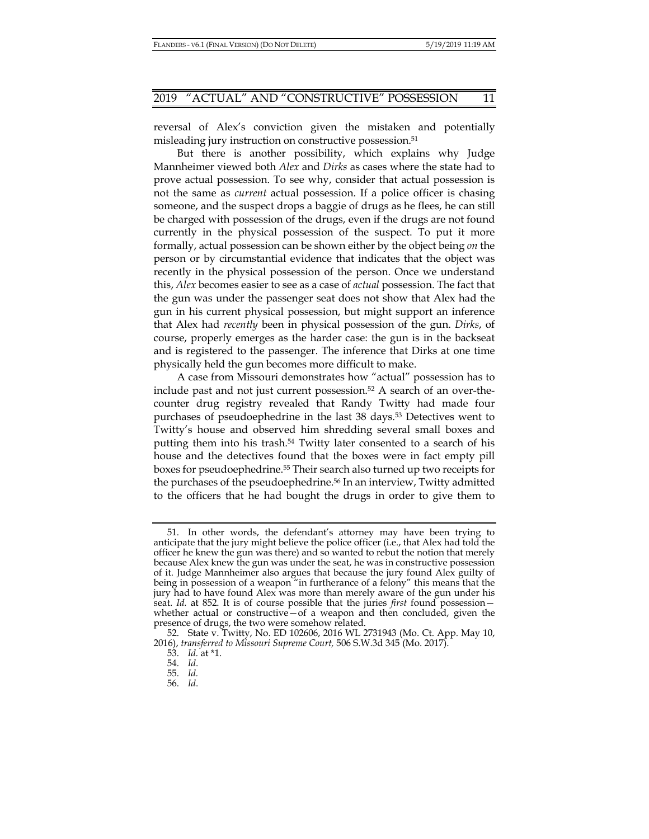reversal of Alex's conviction given the mistaken and potentially misleading jury instruction on constructive possession.<sup>51</sup>

But there is another possibility, which explains why Judge Mannheimer viewed both *Alex* and *Dirks* as cases where the state had to prove actual possession. To see why, consider that actual possession is not the same as *current* actual possession. If a police officer is chasing someone, and the suspect drops a baggie of drugs as he flees, he can still be charged with possession of the drugs, even if the drugs are not found currently in the physical possession of the suspect. To put it more formally, actual possession can be shown either by the object being *on* the person or by circumstantial evidence that indicates that the object was recently in the physical possession of the person. Once we understand this, *Alex* becomes easier to see as a case of *actual* possession. The fact that the gun was under the passenger seat does not show that Alex had the gun in his current physical possession, but might support an inference that Alex had *recently* been in physical possession of the gun. *Dirks*, of course, properly emerges as the harder case: the gun is in the backseat and is registered to the passenger. The inference that Dirks at one time physically held the gun becomes more difficult to make.

A case from Missouri demonstrates how "actual" possession has to include past and not just current possession.52 A search of an over-thecounter drug registry revealed that Randy Twitty had made four purchases of pseudoephedrine in the last 38 days.53 Detectives went to Twitty's house and observed him shredding several small boxes and putting them into his trash.<sup>54</sup> Twitty later consented to a search of his house and the detectives found that the boxes were in fact empty pill boxes for pseudoephedrine.55 Their search also turned up two receipts for the purchases of the pseudoephedrine.56 In an interview, Twitty admitted to the officers that he had bought the drugs in order to give them to

 <sup>51.</sup> In other words, the defendant's attorney may have been trying to anticipate that the jury might believe the police officer (i.e., that Alex had told the officer he knew the gun was there) and so wanted to rebut the notion that merely because Alex knew the gun was under the seat, he was in constructive possession of it. Judge Mannheimer also argues that because the jury found Alex guilty of being in possession of a weapon "in furtherance of a felony" this means that the jury had to have found Alex was more than merely aware of the gun under his seat. *Id.* at 852. It is of course possible that the juries *first* found possession whether actual or constructive-of a weapon and then concluded, given the presence of drugs, the two were somehow related.

 <sup>52.</sup> State v. Twitty, No. ED 102606, 2016 WL 2731943 (Mo. Ct. App. May 10, 2016), *transferred to Missouri Supreme Court,* 506 S.W.3d 345 (Mo. 2017).

 <sup>53.</sup> *Id.* at \*1.

 <sup>54.</sup> *Id*.

 <sup>55.</sup> *Id.*

 <sup>56.</sup> *Id*.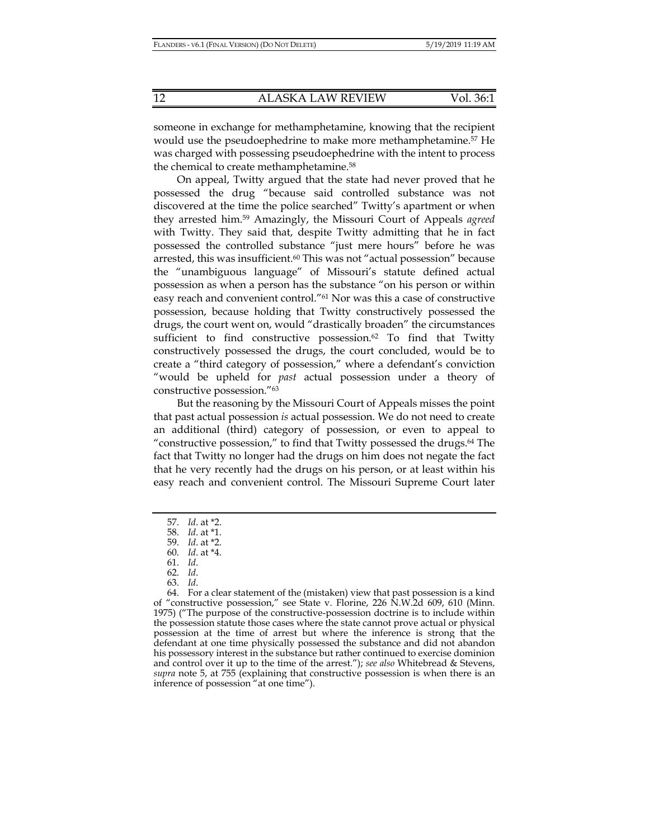someone in exchange for methamphetamine, knowing that the recipient would use the pseudoephedrine to make more methamphetamine.57 He was charged with possessing pseudoephedrine with the intent to process the chemical to create methamphetamine.58

On appeal, Twitty argued that the state had never proved that he possessed the drug "because said controlled substance was not discovered at the time the police searched" Twitty's apartment or when they arrested him.59 Amazingly, the Missouri Court of Appeals *agreed* with Twitty. They said that, despite Twitty admitting that he in fact possessed the controlled substance "just mere hours" before he was arrested, this was insufficient.60 This was not "actual possession" because the "unambiguous language" of Missouri's statute defined actual possession as when a person has the substance "on his person or within easy reach and convenient control."61 Nor was this a case of constructive possession, because holding that Twitty constructively possessed the drugs, the court went on, would "drastically broaden" the circumstances sufficient to find constructive possession. $62$  To find that Twitty constructively possessed the drugs, the court concluded, would be to create a "third category of possession," where a defendant's conviction "would be upheld for *past* actual possession under a theory of constructive possession."63

But the reasoning by the Missouri Court of Appeals misses the point that past actual possession *is* actual possession. We do not need to create an additional (third) category of possession, or even to appeal to "constructive possession," to find that Twitty possessed the drugs.64 The fact that Twitty no longer had the drugs on him does not negate the fact that he very recently had the drugs on his person, or at least within his easy reach and convenient control. The Missouri Supreme Court later

- 62. *Id*.
- 63. *Id*.

 64. For a clear statement of the (mistaken) view that past possession is a kind of "constructive possession," see State v. Florine, 226 N.W.2d 609, 610 (Minn. 1975) ("The purpose of the constructive-possession doctrine is to include within the possession statute those cases where the state cannot prove actual or physical possession at the time of arrest but where the inference is strong that the defendant at one time physically possessed the substance and did not abandon his possessory interest in the substance but rather continued to exercise dominion and control over it up to the time of the arrest."); *see also* Whitebread & Stevens, *supra* note 5, at 755 (explaining that constructive possession is when there is an inference of possession "at one time").

 <sup>57.</sup> *Id*. at \*2.

 <sup>58.</sup> *Id*. at \*1.

 <sup>59.</sup> *Id*. at \*2.

 <sup>60.</sup> *Id*. at \*4.

 <sup>61.</sup> *Id*.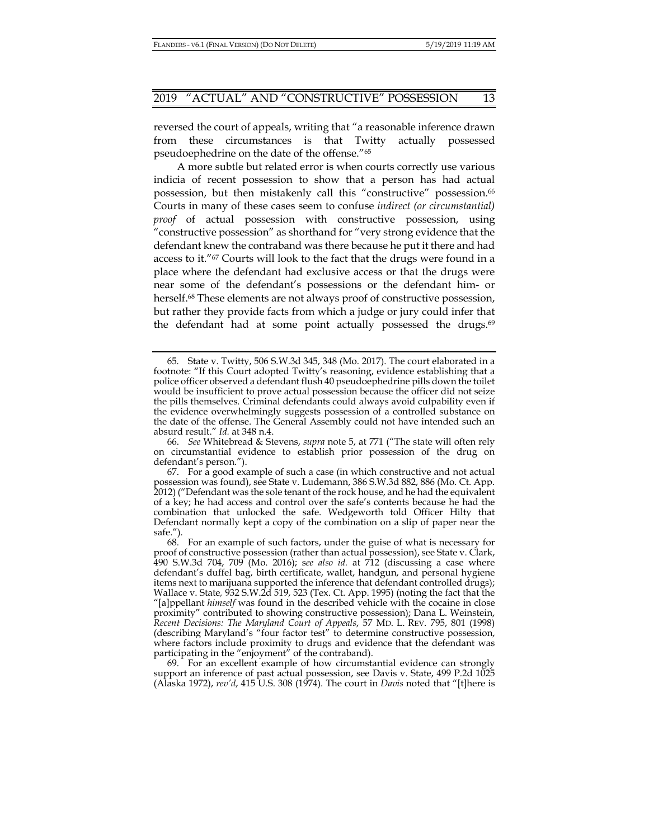reversed the court of appeals, writing that "a reasonable inference drawn from these circumstances is that Twitty actually possessed pseudoephedrine on the date of the offense."65

A more subtle but related error is when courts correctly use various indicia of recent possession to show that a person has had actual possession, but then mistakenly call this "constructive" possession.<sup>66</sup> Courts in many of these cases seem to confuse *indirect (or circumstantial) proof* of actual possession with constructive possession, using "constructive possession" as shorthand for "very strong evidence that the defendant knew the contraband was there because he put it there and had access to it."67 Courts will look to the fact that the drugs were found in a place where the defendant had exclusive access or that the drugs were near some of the defendant's possessions or the defendant him- or herself.<sup>68</sup> These elements are not always proof of constructive possession, but rather they provide facts from which a judge or jury could infer that the defendant had at some point actually possessed the drugs.<sup>69</sup>

<sup>65</sup>*.* State v. Twitty, 506 S.W.3d 345, 348 (Mo. 2017). The court elaborated in a footnote: "If this Court adopted Twitty's reasoning, evidence establishing that a police officer observed a defendant flush 40 pseudoephedrine pills down the toilet would be insufficient to prove actual possession because the officer did not seize the pills themselves. Criminal defendants could always avoid culpability even if the evidence overwhelmingly suggests possession of a controlled substance on the date of the offense. The General Assembly could not have intended such an absurd result." *Id.* at 348 n.4.

 <sup>66.</sup> *See* Whitebread & Stevens, *supra* note 5, at 771 ("The state will often rely on circumstantial evidence to establish prior possession of the drug on defendant's person.").

 <sup>67.</sup> For a good example of such a case (in which constructive and not actual possession was found), see State v. Ludemann, 386 S.W.3d 882, 886 (Mo. Ct. App. 2012) ("Defendant was the sole tenant of the rock house, and he had the equivalent of a key; he had access and control over the safe's contents because he had the combination that unlocked the safe. Wedgeworth told Officer Hilty that Defendant normally kept a copy of the combination on a slip of paper near the safe.").

 <sup>68.</sup> For an example of such factors, under the guise of what is necessary for proof of constructive possession (rather than actual possession), see State v. Clark, 490 S.W.3d 704, 709 (Mo. 2016); s*ee also id.* at 712 (discussing a case where defendant's duffel bag, birth certificate, wallet, handgun, and personal hygiene items next to marijuana supported the inference that defendant controlled drugs); Wallace v. State*,* 932 S.W.2d 519, 523 (Tex. Ct. App. 1995) (noting the fact that the "[a]ppellant *himself* was found in the described vehicle with the cocaine in close proximity" contributed to showing constructive possession); Dana L. Weinstein, *Recent Decisions: The Maryland Court of Appeals*, 57 MD. L. REV. 795, 801 (1998) (describing Maryland's "four factor test" to determine constructive possession, where factors include proximity to drugs and evidence that the defendant was participating in the "enjoyment" of the contraband).

 <sup>69.</sup> For an excellent example of how circumstantial evidence can strongly support an inference of past actual possession, see Davis v. State, 499 P.2d 1025 (Alaska 1972), *rev'd*, 415 U.S. 308 (1974). The court in *Davis* noted that "[t]here is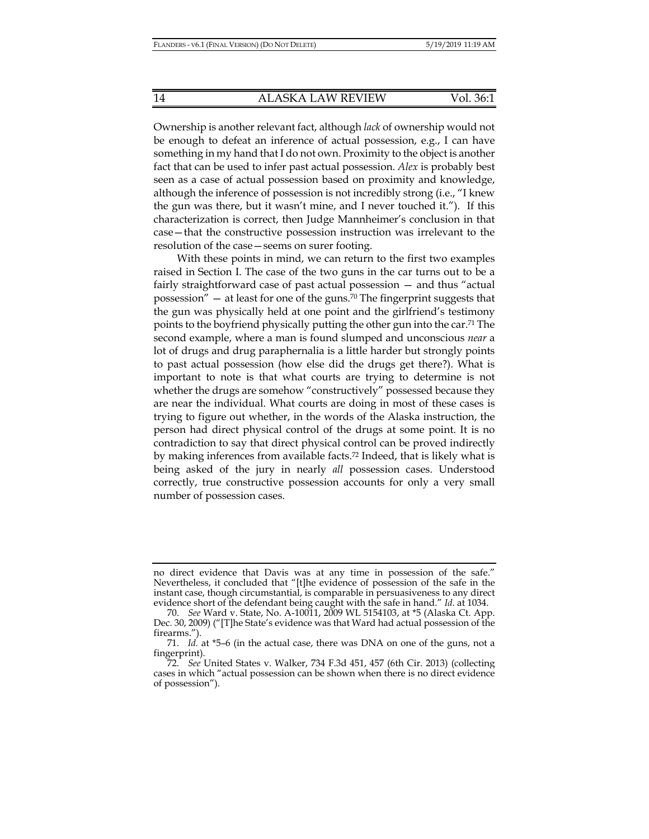Ownership is another relevant fact, although *lack* of ownership would not be enough to defeat an inference of actual possession, e.g., I can have something in my hand that I do not own. Proximity to the object is another fact that can be used to infer past actual possession. *Alex* is probably best seen as a case of actual possession based on proximity and knowledge, although the inference of possession is not incredibly strong (i.e., "I knew the gun was there, but it wasn't mine, and I never touched it."). If this characterization is correct, then Judge Mannheimer's conclusion in that case—that the constructive possession instruction was irrelevant to the resolution of the case—seems on surer footing.

With these points in mind, we can return to the first two examples raised in Section I. The case of the two guns in the car turns out to be a fairly straightforward case of past actual possession — and thus "actual possession" — at least for one of the guns.70 The fingerprint suggests that the gun was physically held at one point and the girlfriend's testimony points to the boyfriend physically putting the other gun into the car.71 The second example, where a man is found slumped and unconscious *near* a lot of drugs and drug paraphernalia is a little harder but strongly points to past actual possession (how else did the drugs get there?). What is important to note is that what courts are trying to determine is not whether the drugs are somehow "constructively" possessed because they are near the individual. What courts are doing in most of these cases is trying to figure out whether, in the words of the Alaska instruction, the person had direct physical control of the drugs at some point. It is no contradiction to say that direct physical control can be proved indirectly by making inferences from available facts.72 Indeed, that is likely what is being asked of the jury in nearly *all* possession cases. Understood correctly, true constructive possession accounts for only a very small number of possession cases.

no direct evidence that Davis was at any time in possession of the safe." Nevertheless, it concluded that "[t]he evidence of possession of the safe in the instant case, though circumstantial, is comparable in persuasiveness to any direct evidence short of the defendant being caught with the safe in hand." *Id*. at 1034.

 <sup>70.</sup> *See* Ward v. State, No. A-10011, 2009 WL 5154103, at \*5 (Alaska Ct. App. Dec. 30, 2009) ("[T]he State's evidence was that Ward had actual possession of the firearms.").

 <sup>71.</sup> *Id.* at \*5–6 (in the actual case, there was DNA on one of the guns, not a fingerprint).

 <sup>72.</sup> *See* United States v. Walker, 734 F.3d 451, 457 (6th Cir. 2013) (collecting cases in which "actual possession can be shown when there is no direct evidence of possession").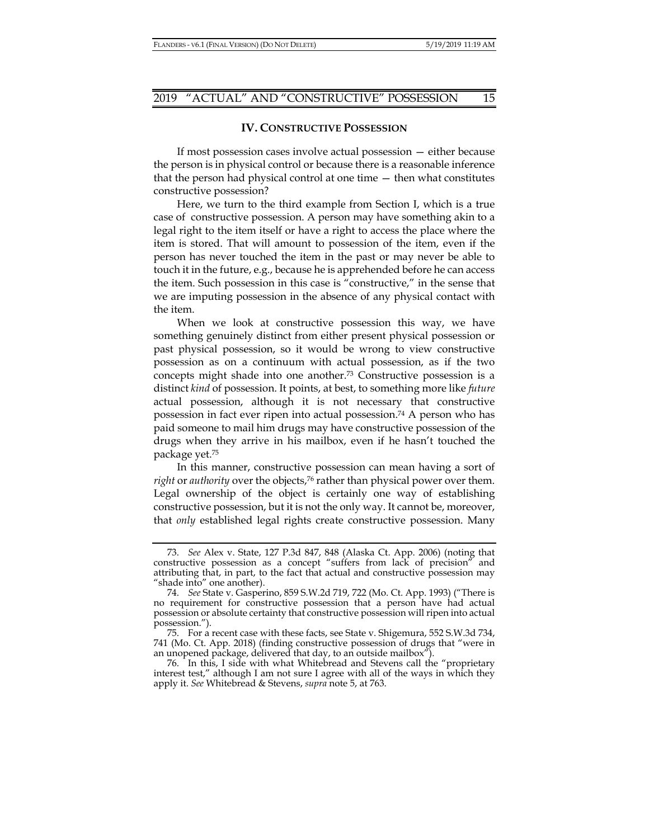#### **IV. CONSTRUCTIVE POSSESSION**

If most possession cases involve actual possession — either because the person is in physical control or because there is a reasonable inference that the person had physical control at one time — then what constitutes constructive possession?

Here, we turn to the third example from Section I, which is a true case of constructive possession. A person may have something akin to a legal right to the item itself or have a right to access the place where the item is stored. That will amount to possession of the item, even if the person has never touched the item in the past or may never be able to touch it in the future, e.g., because he is apprehended before he can access the item. Such possession in this case is "constructive," in the sense that we are imputing possession in the absence of any physical contact with the item.

When we look at constructive possession this way, we have something genuinely distinct from either present physical possession or past physical possession, so it would be wrong to view constructive possession as on a continuum with actual possession, as if the two concepts might shade into one another.73 Constructive possession is a distinct *kind* of possession. It points, at best, to something more like *future*  actual possession, although it is not necessary that constructive possession in fact ever ripen into actual possession.74 A person who has paid someone to mail him drugs may have constructive possession of the drugs when they arrive in his mailbox, even if he hasn't touched the package yet.75

In this manner, constructive possession can mean having a sort of *right* or *authority* over the objects,<sup>76</sup> rather than physical power over them. Legal ownership of the object is certainly one way of establishing constructive possession, but it is not the only way. It cannot be, moreover, that *only* established legal rights create constructive possession. Many

 <sup>73.</sup> *See* Alex v. State, 127 P.3d 847, 848 (Alaska Ct. App. 2006) (noting that constructive possession as a concept "suffers from lack of precision" and attributing that, in part, to the fact that actual and constructive possession may "shade into" one another).

 <sup>74.</sup> *See* State v. Gasperino, 859 S.W.2d 719, 722 (Mo. Ct. App. 1993) ("There is no requirement for constructive possession that a person have had actual possession or absolute certainty that constructive possession will ripen into actual possession.").

 <sup>75.</sup> For a recent case with these facts, see State v. Shigemura, 552 S.W.3d 734, 741 (Mo. Ct. App. 2018) (finding constructive possession of drugs that "were in an unopened package, delivered that day, to an outside mailbox").

 <sup>76.</sup> In this, I side with what Whitebread and Stevens call the "proprietary interest test," although I am not sure I agree with all of the ways in which they apply it. *See* Whitebread & Stevens, *supra* note 5, at 763.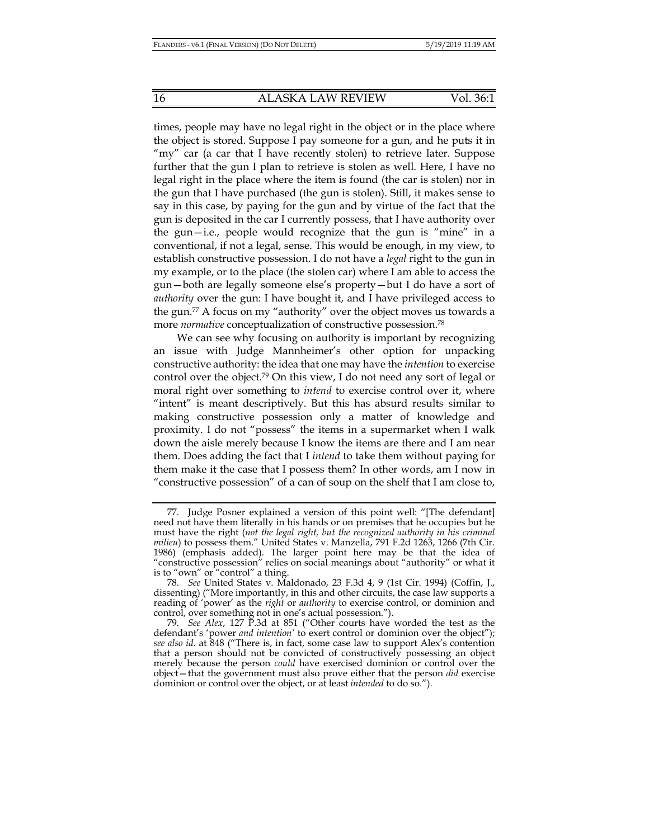times, people may have no legal right in the object or in the place where the object is stored. Suppose I pay someone for a gun, and he puts it in "my" car (a car that I have recently stolen) to retrieve later. Suppose further that the gun I plan to retrieve is stolen as well. Here, I have no legal right in the place where the item is found (the car is stolen) nor in the gun that I have purchased (the gun is stolen). Still, it makes sense to say in this case, by paying for the gun and by virtue of the fact that the gun is deposited in the car I currently possess, that I have authority over the gun—i.e., people would recognize that the gun is "mine" in a conventional, if not a legal, sense. This would be enough, in my view, to establish constructive possession. I do not have a *legal* right to the gun in my example, or to the place (the stolen car) where I am able to access the gun—both are legally someone else's property—but I do have a sort of *authority* over the gun: I have bought it, and I have privileged access to the gun.77 A focus on my "authority" over the object moves us towards a more *normative* conceptualization of constructive possession.78

We can see why focusing on authority is important by recognizing an issue with Judge Mannheimer's other option for unpacking constructive authority: the idea that one may have the *intention* to exercise control over the object.79 On this view, I do not need any sort of legal or moral right over something to *intend* to exercise control over it, where "intent" is meant descriptively. But this has absurd results similar to making constructive possession only a matter of knowledge and proximity. I do not "possess" the items in a supermarket when I walk down the aisle merely because I know the items are there and I am near them. Does adding the fact that I *intend* to take them without paying for them make it the case that I possess them? In other words, am I now in "constructive possession" of a can of soup on the shelf that I am close to,

 <sup>77.</sup> Judge Posner explained a version of this point well: "[The defendant] need not have them literally in his hands or on premises that he occupies but he must have the right (*not the legal right, but the recognized authority in his criminal milieu*) to possess them." United States v. Manzella, 791 F.2d 1263, 1266 (7th Cir. 1986) (emphasis added). The larger point here may be that the idea of "constructive possession" relies on social meanings about "authority" or what it is to "own" or "control" a thing.

 <sup>78.</sup> *See* United States v. Maldonado, 23 F.3d 4, 9 (1st Cir. 1994) (Coffin, J., dissenting) ("More importantly, in this and other circuits, the case law supports a reading of 'power' as the *right* or *authority* to exercise control, or dominion and control, over something not in one's actual possession.").

 <sup>79.</sup> *See Alex*, 127 P.3d at 851 ("Other courts have worded the test as the defendant's 'power *and intention'* to exert control or dominion over the object"); *see also id.* at 848 ("There is, in fact, some case law to support Alex's contention that a person should not be convicted of constructively possessing an object merely because the person *could* have exercised dominion or control over the object—that the government must also prove either that the person *did* exercise dominion or control over the object, or at least *intended* to do so.").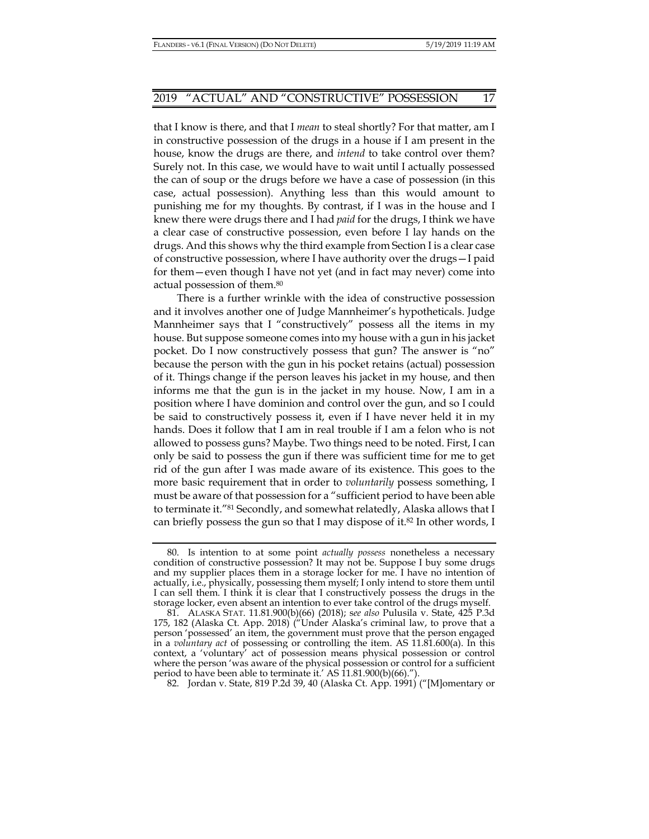that I know is there, and that I *mean* to steal shortly? For that matter, am I in constructive possession of the drugs in a house if I am present in the house, know the drugs are there, and *intend* to take control over them? Surely not. In this case, we would have to wait until I actually possessed the can of soup or the drugs before we have a case of possession (in this case, actual possession). Anything less than this would amount to punishing me for my thoughts. By contrast, if I was in the house and I knew there were drugs there and I had *paid* for the drugs, I think we have a clear case of constructive possession, even before I lay hands on the drugs. And this shows why the third example from Section I is a clear case of constructive possession, where I have authority over the drugs—I paid for them—even though I have not yet (and in fact may never) come into actual possession of them.80

There is a further wrinkle with the idea of constructive possession and it involves another one of Judge Mannheimer's hypotheticals. Judge Mannheimer says that I "constructively" possess all the items in my house. But suppose someone comes into my house with a gun in his jacket pocket. Do I now constructively possess that gun? The answer is "no" because the person with the gun in his pocket retains (actual) possession of it. Things change if the person leaves his jacket in my house, and then informs me that the gun is in the jacket in my house. Now, I am in a position where I have dominion and control over the gun, and so I could be said to constructively possess it, even if I have never held it in my hands. Does it follow that I am in real trouble if I am a felon who is not allowed to possess guns? Maybe. Two things need to be noted. First, I can only be said to possess the gun if there was sufficient time for me to get rid of the gun after I was made aware of its existence. This goes to the more basic requirement that in order to *voluntarily* possess something, I must be aware of that possession for a "sufficient period to have been able to terminate it."81 Secondly, and somewhat relatedly, Alaska allows that I can briefly possess the gun so that I may dispose of it.<sup>82</sup> In other words, I

82. Jordan v. State, 819 P.2d 39, 40 (Alaska Ct. App. 1991) ("[M]omentary or

 <sup>80.</sup> Is intention to at some point *actually possess* nonetheless a necessary condition of constructive possession? It may not be. Suppose I buy some drugs and my supplier places them in a storage locker for me. I have no intention of actually, i.e., physically, possessing them myself; I only intend to store them until I can sell them. I think it is clear that I constructively possess the drugs in the storage locker, even absent an intention to ever take control of the drugs myself.

 <sup>81.</sup> ALASKA STAT. 11.81.900(b)(66) (2018); s*ee also* Pulusila v. State, 425 P.3d 175, 182 (Alaska Ct. App. 2018) ("Under Alaska's criminal law, to prove that a person 'possessed' an item, the government must prove that the person engaged in a *voluntary act* of possessing or controlling the item. AS 11.81.600(a). In this context, a 'voluntary' act of possession means physical possession or control where the person 'was aware of the physical possession or control for a sufficient period to have been able to terminate it.' AS 11.81.900(b)(66).").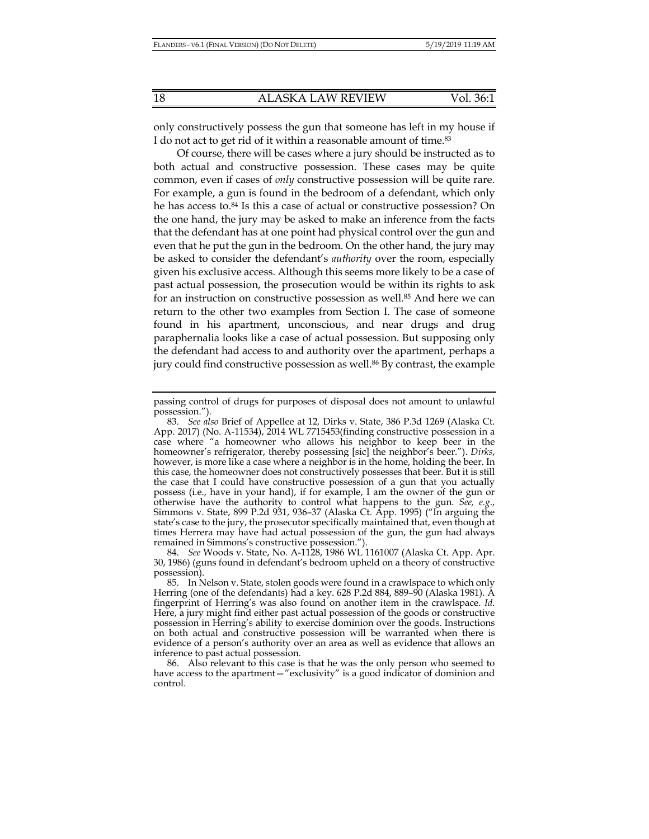only constructively possess the gun that someone has left in my house if I do not act to get rid of it within a reasonable amount of time.83

Of course, there will be cases where a jury should be instructed as to both actual and constructive possession. These cases may be quite common, even if cases of *only* constructive possession will be quite rare. For example, a gun is found in the bedroom of a defendant, which only he has access to.84 Is this a case of actual or constructive possession? On the one hand, the jury may be asked to make an inference from the facts that the defendant has at one point had physical control over the gun and even that he put the gun in the bedroom. On the other hand, the jury may be asked to consider the defendant's *authority* over the room, especially given his exclusive access. Although this seems more likely to be a case of past actual possession, the prosecution would be within its rights to ask for an instruction on constructive possession as well.<sup>85</sup> And here we can return to the other two examples from Section I. The case of someone found in his apartment, unconscious, and near drugs and drug paraphernalia looks like a case of actual possession. But supposing only the defendant had access to and authority over the apartment, perhaps a jury could find constructive possession as well.<sup>86</sup> By contrast, the example

passing control of drugs for purposes of disposal does not amount to unlawful possession.").

 <sup>83.</sup> *See also* Brief of Appellee at 12*,* Dirks v. State, 386 P.3d 1269 (Alaska Ct. App. 2017) (No. A-11534), 2014 WL 7715453(finding constructive possession in a case where "a homeowner who allows his neighbor to keep beer in the homeowner's refrigerator, thereby possessing [sic] the neighbor's beer."). *Dirks*, however, is more like a case where a neighbor is in the home, holding the beer. In this case, the homeowner does not constructively possesses that beer. But it is still the case that I could have constructive possession of a gun that you actually possess (i.e., have in your hand), if for example, I am the owner of the gun or otherwise have the authority to control what happens to the gun. *See, e.g*., Simmons v. State, 899 P.2d 931, 936–37 (Alaska Ct. App. 1995) ("In arguing the state's case to the jury, the prosecutor specifically maintained that, even though at times Herrera may have had actual possession of the gun, the gun had always remained in Simmons's constructive possession.").

 <sup>84.</sup> *See* Woods v. State, No. A-1128, 1986 WL 1161007 (Alaska Ct. App. Apr. 30, 1986) (guns found in defendant's bedroom upheld on a theory of constructive possession).

 <sup>85.</sup> In Nelson v. State, stolen goods were found in a crawlspace to which only Herring (one of the defendants) had a key. 628 P.2d 884, 889–90 (Alaska 1981). A fingerprint of Herring's was also found on another item in the crawlspace. *Id*. Here, a jury might find either past actual possession of the goods or constructive possession in Herring's ability to exercise dominion over the goods. Instructions on both actual and constructive possession will be warranted when there is evidence of a person's authority over an area as well as evidence that allows an inference to past actual possession.

 <sup>86.</sup> Also relevant to this case is that he was the only person who seemed to have access to the apartment—"exclusivity" is a good indicator of dominion and control.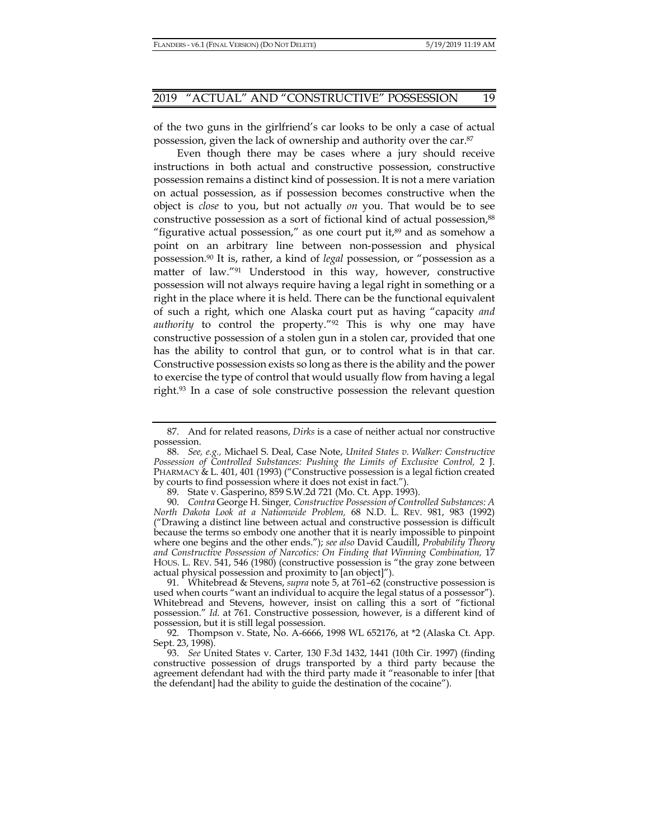of the two guns in the girlfriend's car looks to be only a case of actual possession, given the lack of ownership and authority over the car.87

Even though there may be cases where a jury should receive instructions in both actual and constructive possession, constructive possession remains a distinct kind of possession. It is not a mere variation on actual possession, as if possession becomes constructive when the object is *close* to you, but not actually *on* you. That would be to see constructive possession as a sort of fictional kind of actual possession,<sup>88</sup> "figurative actual possession," as one court put it, $89$  and as somehow a point on an arbitrary line between non-possession and physical possession.90 It is, rather, a kind of *legal* possession, or "possession as a matter of law."91 Understood in this way, however, constructive possession will not always require having a legal right in something or a right in the place where it is held. There can be the functional equivalent of such a right, which one Alaska court put as having "capacity *and authority* to control the property."92 This is why one may have constructive possession of a stolen gun in a stolen car, provided that one has the ability to control that gun, or to control what is in that car. Constructive possession exists so long as there is the ability and the power to exercise the type of control that would usually flow from having a legal right.93 In a case of sole constructive possession the relevant question

 <sup>87.</sup> And for related reasons, *Dirks* is a case of neither actual nor constructive possession.

 <sup>88.</sup> *See, e.g.,* Michael S. Deal, Case Note, *United States v. Walker: Constructive Possession of Controlled Substances: Pushing the Limits of Exclusive Control,* 2 J. PHARMACY & L. 401, 401 (1993) ("Constructive possession is a legal fiction created by courts to find possession where it does not exist in fact.").

 <sup>89.</sup> State v. Gasperino, 859 S.W.2d 721 (Mo. Ct. App. 1993).

 <sup>90.</sup> *Contra* George H. Singer*, Constructive Possession of Controlled Substances: A North Dakota Look at a Nationwide Problem,* 68 N.D. L. REV. 981, 983 (1992) ("Drawing a distinct line between actual and constructive possession is difficult because the terms so embody one another that it is nearly impossible to pinpoint where one begins and the other ends."); *see also* David Caudill, *Probability Theory*  and Constructive Possession of Narcotics: On Finding that Winning Combination, 17 HOUS. L. REV. 541, 546 (1980) (constructive possession is "the gray zone between actual physical possession and proximity to [an object]").

 <sup>91.</sup> Whitebread & Stevens, *supra* note 5, at 761–62 (constructive possession is used when courts "want an individual to acquire the legal status of a possessor"). Whitebread and Stevens, however, insist on calling this a sort of "fictional possession." *Id*. at 761. Constructive possession, however, is a different kind of possession, but it is still legal possession.

 <sup>92.</sup> Thompson v. State, No. A-6666, 1998 WL 652176, at \*2 (Alaska Ct. App. Sept. 23, 1998).

 <sup>93.</sup> *See* United States v. Carter*,* 130 F.3d 1432, 1441 (10th Cir. 1997) (finding constructive possession of drugs transported by a third party because the agreement defendant had with the third party made it "reasonable to infer [that the defendant] had the ability to guide the destination of the cocaine").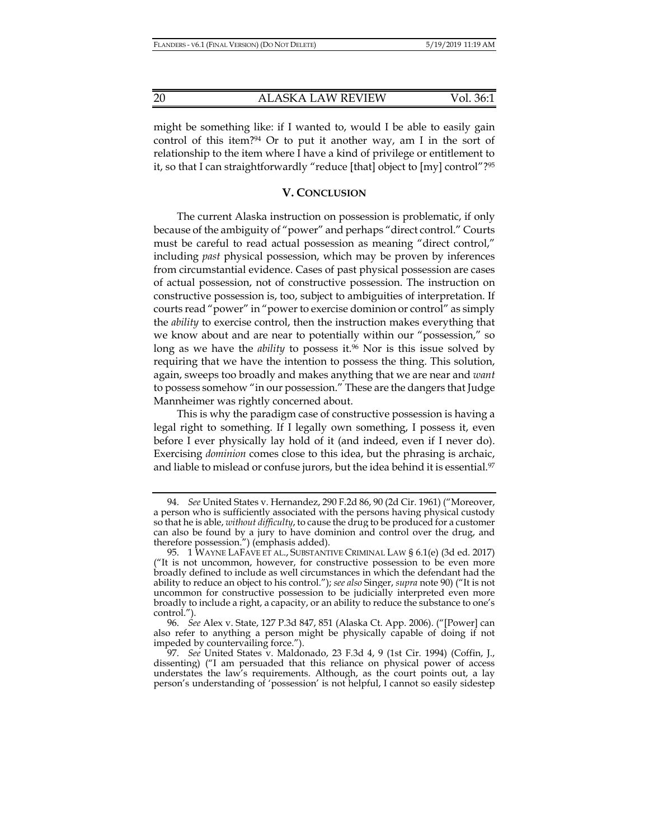might be something like: if I wanted to, would I be able to easily gain control of this item?<sup>94</sup> Or to put it another way, am I in the sort of relationship to the item where I have a kind of privilege or entitlement to it, so that I can straightforwardly "reduce [that] object to [my] control"?95

#### **V. CONCLUSION**

The current Alaska instruction on possession is problematic, if only because of the ambiguity of "power" and perhaps "direct control." Courts must be careful to read actual possession as meaning "direct control," including *past* physical possession, which may be proven by inferences from circumstantial evidence. Cases of past physical possession are cases of actual possession, not of constructive possession. The instruction on constructive possession is, too, subject to ambiguities of interpretation. If courts read "power" in "power to exercise dominion or control" as simply the *ability* to exercise control, then the instruction makes everything that we know about and are near to potentially within our "possession," so long as we have the *ability* to possess it.<sup>96</sup> Nor is this issue solved by requiring that we have the intention to possess the thing. This solution, again, sweeps too broadly and makes anything that we are near and *want* to possess somehow "in our possession." These are the dangers that Judge Mannheimer was rightly concerned about.

This is why the paradigm case of constructive possession is having a legal right to something. If I legally own something, I possess it, even before I ever physically lay hold of it (and indeed, even if I never do). Exercising *dominion* comes close to this idea, but the phrasing is archaic, and liable to mislead or confuse jurors, but the idea behind it is essential.<sup>97</sup>

 <sup>94.</sup> *See* United States v. Hernandez, 290 F.2d 86, 90 (2d Cir. 1961) ("Moreover, a person who is sufficiently associated with the persons having physical custody so that he is able, *without difficulty*, to cause the drug to be produced for a customer can also be found by a jury to have dominion and control over the drug, and therefore possession.") (emphasis added).

 <sup>95. 1</sup> WAYNE LAFAVE ET AL., SUBSTANTIVE CRIMINAL LAW § 6.1(e) (3d ed. 2017) ("It is not uncommon, however, for constructive possession to be even more broadly defined to include as well circumstances in which the defendant had the ability to reduce an object to his control."); *see also* Singer, *supra* note 90) ("It is not uncommon for constructive possession to be judicially interpreted even more broadly to include a right, a capacity, or an ability to reduce the substance to one's control.").

 <sup>96.</sup> *See* Alex v. State, 127 P.3d 847, 851 (Alaska Ct. App. 2006). ("[Power] can also refer to anything a person might be physically capable of doing if not impeded by countervailing force.").

 <sup>97.</sup> *See* United States v. Maldonado, 23 F.3d 4, 9 (1st Cir. 1994) (Coffin, J., dissenting) ("I am persuaded that this reliance on physical power of access understates the law's requirements. Although, as the court points out, a lay person's understanding of 'possession' is not helpful, I cannot so easily sidestep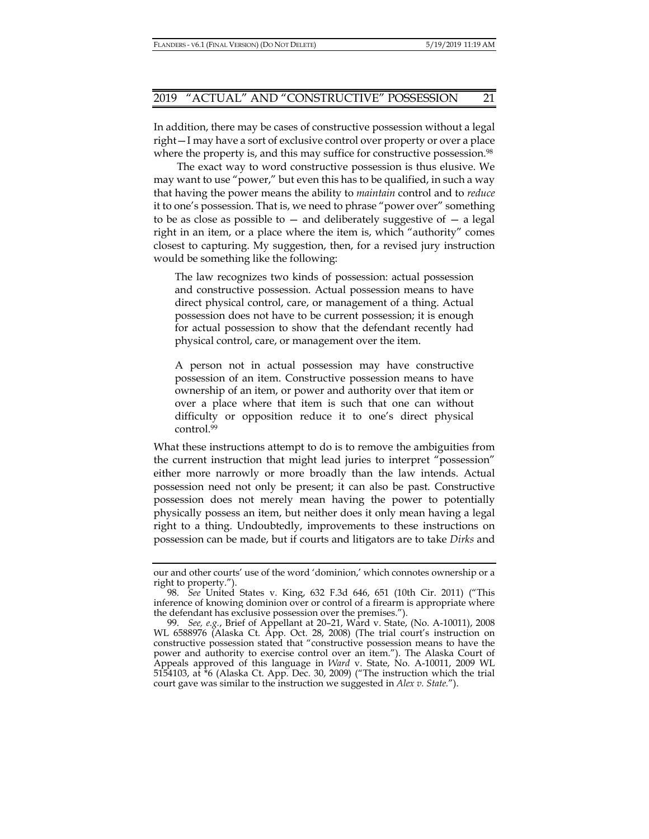In addition, there may be cases of constructive possession without a legal right—I may have a sort of exclusive control over property or over a place where the property is, and this may suffice for constructive possession.<sup>98</sup>

The exact way to word constructive possession is thus elusive. We may want to use "power," but even this has to be qualified, in such a way that having the power means the ability to *maintain* control and to *reduce* it to one's possession. That is, we need to phrase "power over" something to be as close as possible to  $-$  and deliberately suggestive of  $-$  a legal right in an item, or a place where the item is, which "authority" comes closest to capturing. My suggestion, then, for a revised jury instruction would be something like the following:

The law recognizes two kinds of possession: actual possession and constructive possession. Actual possession means to have direct physical control, care, or management of a thing. Actual possession does not have to be current possession; it is enough for actual possession to show that the defendant recently had physical control, care, or management over the item.

A person not in actual possession may have constructive possession of an item. Constructive possession means to have ownership of an item, or power and authority over that item or over a place where that item is such that one can without difficulty or opposition reduce it to one's direct physical control.99

What these instructions attempt to do is to remove the ambiguities from the current instruction that might lead juries to interpret "possession" either more narrowly or more broadly than the law intends. Actual possession need not only be present; it can also be past. Constructive possession does not merely mean having the power to potentially physically possess an item, but neither does it only mean having a legal right to a thing. Undoubtedly, improvements to these instructions on possession can be made, but if courts and litigators are to take *Dirks* and

our and other courts' use of the word 'dominion,' which connotes ownership or a right to property.").

 <sup>98.</sup> *See* United States v. King, 632 F.3d 646, 651 (10th Cir. 2011) ("This inference of knowing dominion over or control of a firearm is appropriate where the defendant has exclusive possession over the premises.").

 <sup>99.</sup> *See, e.g.*, Brief of Appellant at 20–21, Ward v. State, (No. A-10011), 2008 WL 6588976 (Alaska Ct. App. Oct. 28, 2008) (The trial court's instruction on constructive possession stated that "constructive possession means to have the power and authority to exercise control over an item."). The Alaska Court of Appeals approved of this language in *Ward* v. State, No. A-10011, 2009 WL 5154103, at \*6 (Alaska Ct. App. Dec. 30, 2009) ("The instruction which the trial court gave was similar to the instruction we suggested in *Alex v. State.*").